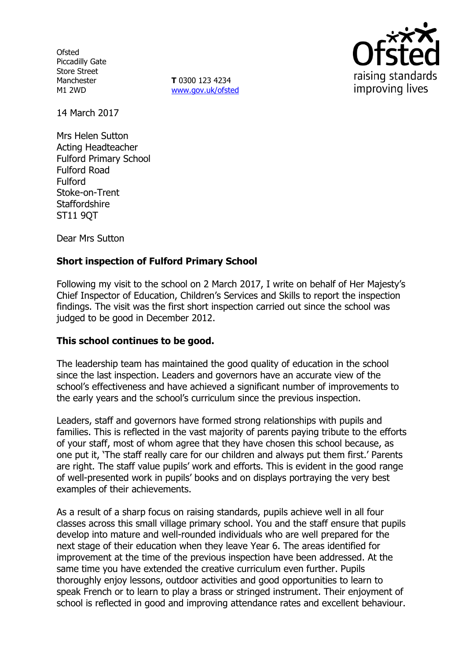**Ofsted** Piccadilly Gate Store Street Manchester M1 2WD

**T** 0300 123 4234 www.gov.uk/ofsted



14 March 2017

Mrs Helen Sutton Acting Headteacher Fulford Primary School Fulford Road Fulford Stoke-on-Trent **Staffordshire** ST11 9QT

Dear Mrs Sutton

# **Short inspection of Fulford Primary School**

Following my visit to the school on 2 March 2017, I write on behalf of Her Majesty's Chief Inspector of Education, Children's Services and Skills to report the inspection findings. The visit was the first short inspection carried out since the school was judged to be good in December 2012.

### **This school continues to be good.**

The leadership team has maintained the good quality of education in the school since the last inspection. Leaders and governors have an accurate view of the school's effectiveness and have achieved a significant number of improvements to the early years and the school's curriculum since the previous inspection.

Leaders, staff and governors have formed strong relationships with pupils and families. This is reflected in the vast majority of parents paying tribute to the efforts of your staff, most of whom agree that they have chosen this school because, as one put it, 'The staff really care for our children and always put them first.' Parents are right. The staff value pupils' work and efforts. This is evident in the good range of well-presented work in pupils' books and on displays portraying the very best examples of their achievements.

As a result of a sharp focus on raising standards, pupils achieve well in all four classes across this small village primary school. You and the staff ensure that pupils develop into mature and well-rounded individuals who are well prepared for the next stage of their education when they leave Year 6. The areas identified for improvement at the time of the previous inspection have been addressed. At the same time you have extended the creative curriculum even further. Pupils thoroughly enjoy lessons, outdoor activities and good opportunities to learn to speak French or to learn to play a brass or stringed instrument. Their enjoyment of school is reflected in good and improving attendance rates and excellent behaviour.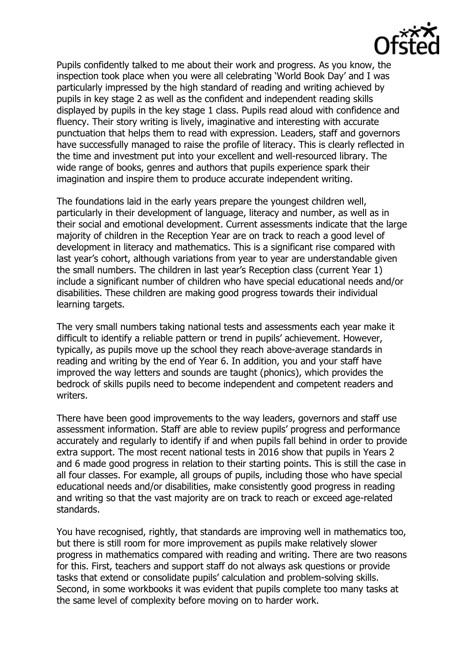

Pupils confidently talked to me about their work and progress. As you know, the inspection took place when you were all celebrating 'World Book Day' and I was particularly impressed by the high standard of reading and writing achieved by pupils in key stage 2 as well as the confident and independent reading skills displayed by pupils in the key stage 1 class. Pupils read aloud with confidence and fluency. Their story writing is lively, imaginative and interesting with accurate punctuation that helps them to read with expression. Leaders, staff and governors have successfully managed to raise the profile of literacy. This is clearly reflected in the time and investment put into your excellent and well-resourced library. The wide range of books, genres and authors that pupils experience spark their imagination and inspire them to produce accurate independent writing.

The foundations laid in the early years prepare the youngest children well, particularly in their development of language, literacy and number, as well as in their social and emotional development. Current assessments indicate that the large majority of children in the Reception Year are on track to reach a good level of development in literacy and mathematics. This is a significant rise compared with last year's cohort, although variations from year to year are understandable given the small numbers. The children in last year's Reception class (current Year 1) include a significant number of children who have special educational needs and/or disabilities. These children are making good progress towards their individual learning targets.

The very small numbers taking national tests and assessments each year make it difficult to identify a reliable pattern or trend in pupils' achievement. However, typically, as pupils move up the school they reach above-average standards in reading and writing by the end of Year 6. In addition, you and your staff have improved the way letters and sounds are taught (phonics), which provides the bedrock of skills pupils need to become independent and competent readers and writers.

There have been good improvements to the way leaders, governors and staff use assessment information. Staff are able to review pupils' progress and performance accurately and regularly to identify if and when pupils fall behind in order to provide extra support. The most recent national tests in 2016 show that pupils in Years 2 and 6 made good progress in relation to their starting points. This is still the case in all four classes. For example, all groups of pupils, including those who have special educational needs and/or disabilities, make consistently good progress in reading and writing so that the vast majority are on track to reach or exceed age-related standards.

You have recognised, rightly, that standards are improving well in mathematics too, but there is still room for more improvement as pupils make relatively slower progress in mathematics compared with reading and writing. There are two reasons for this. First, teachers and support staff do not always ask questions or provide tasks that extend or consolidate pupils' calculation and problem-solving skills. Second, in some workbooks it was evident that pupils complete too many tasks at the same level of complexity before moving on to harder work.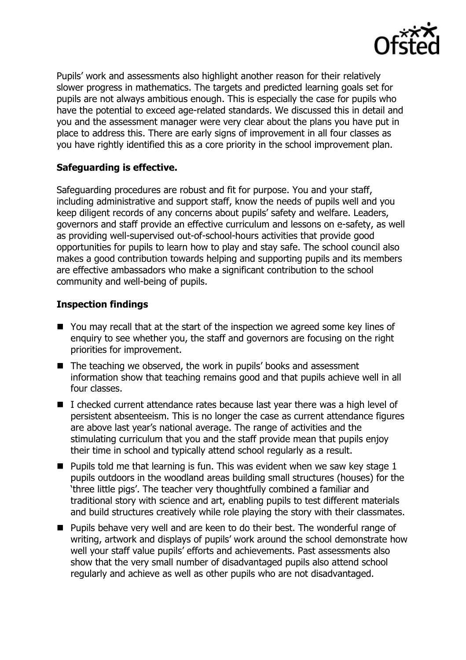

Pupils' work and assessments also highlight another reason for their relatively slower progress in mathematics. The targets and predicted learning goals set for pupils are not always ambitious enough. This is especially the case for pupils who have the potential to exceed age-related standards. We discussed this in detail and you and the assessment manager were very clear about the plans you have put in place to address this. There are early signs of improvement in all four classes as you have rightly identified this as a core priority in the school improvement plan.

### **Safeguarding is effective.**

Safeguarding procedures are robust and fit for purpose. You and your staff, including administrative and support staff, know the needs of pupils well and you keep diligent records of any concerns about pupils' safety and welfare. Leaders, governors and staff provide an effective curriculum and lessons on e-safety, as well as providing well-supervised out-of-school-hours activities that provide good opportunities for pupils to learn how to play and stay safe. The school council also makes a good contribution towards helping and supporting pupils and its members are effective ambassadors who make a significant contribution to the school community and well-being of pupils.

## **Inspection findings**

- You may recall that at the start of the inspection we agreed some key lines of enquiry to see whether you, the staff and governors are focusing on the right priorities for improvement.
- The teaching we observed, the work in pupils' books and assessment information show that teaching remains good and that pupils achieve well in all four classes.
- I checked current attendance rates because last year there was a high level of persistent absenteeism. This is no longer the case as current attendance figures are above last year's national average. The range of activities and the stimulating curriculum that you and the staff provide mean that pupils enjoy their time in school and typically attend school regularly as a result.
- **Pupils told me that learning is fun. This was evident when we saw key stage 1** pupils outdoors in the woodland areas building small structures (houses) for the 'three little pigs'. The teacher very thoughtfully combined a familiar and traditional story with science and art, enabling pupils to test different materials and build structures creatively while role playing the story with their classmates.
- **Pupils behave very well and are keen to do their best. The wonderful range of** writing, artwork and displays of pupils' work around the school demonstrate how well your staff value pupils' efforts and achievements. Past assessments also show that the very small number of disadvantaged pupils also attend school regularly and achieve as well as other pupils who are not disadvantaged.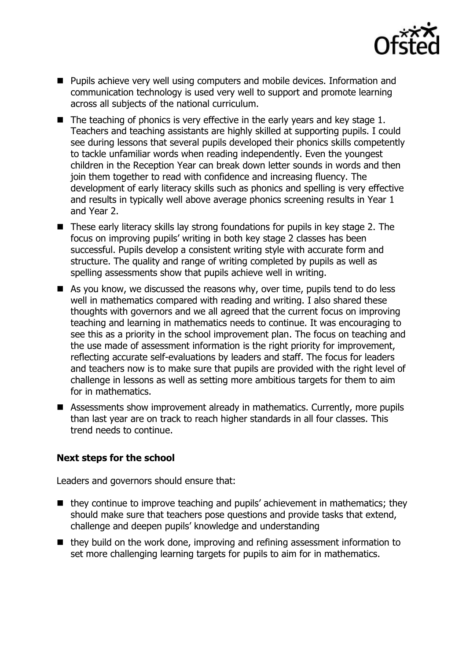

- **Pupils achieve very well using computers and mobile devices. Information and** communication technology is used very well to support and promote learning across all subjects of the national curriculum.
- $\blacksquare$  The teaching of phonics is very effective in the early years and key stage 1. Teachers and teaching assistants are highly skilled at supporting pupils. I could see during lessons that several pupils developed their phonics skills competently to tackle unfamiliar words when reading independently. Even the youngest children in the Reception Year can break down letter sounds in words and then join them together to read with confidence and increasing fluency. The development of early literacy skills such as phonics and spelling is very effective and results in typically well above average phonics screening results in Year 1 and Year 2.
- These early literacy skills lay strong foundations for pupils in key stage 2. The focus on improving pupils' writing in both key stage 2 classes has been successful. Pupils develop a consistent writing style with accurate form and structure. The quality and range of writing completed by pupils as well as spelling assessments show that pupils achieve well in writing.
- $\blacksquare$  As you know, we discussed the reasons why, over time, pupils tend to do less well in mathematics compared with reading and writing. I also shared these thoughts with governors and we all agreed that the current focus on improving teaching and learning in mathematics needs to continue. It was encouraging to see this as a priority in the school improvement plan. The focus on teaching and the use made of assessment information is the right priority for improvement, reflecting accurate self-evaluations by leaders and staff. The focus for leaders and teachers now is to make sure that pupils are provided with the right level of challenge in lessons as well as setting more ambitious targets for them to aim for in mathematics.
- Assessments show improvement already in mathematics. Currently, more pupils than last year are on track to reach higher standards in all four classes. This trend needs to continue.

### **Next steps for the school**

Leaders and governors should ensure that:

- $\blacksquare$  they continue to improve teaching and pupils' achievement in mathematics; they should make sure that teachers pose questions and provide tasks that extend, challenge and deepen pupils' knowledge and understanding
- they build on the work done, improving and refining assessment information to set more challenging learning targets for pupils to aim for in mathematics.